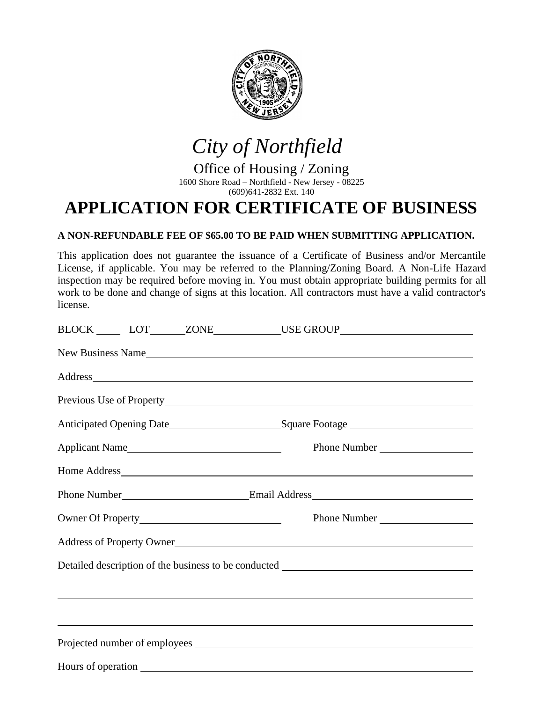

## *City of Northfield*

Office of Housing / Zoning 1600 Shore Road – Northfield - New Jersey - 08225 (609)641-2832 Ext. 140

## **APPLICATION FOR CERTIFICATE OF BUSINESS**

## **A NON-REFUNDABLE FEE OF \$65.00 TO BE PAID WHEN SUBMITTING APPLICATION.**

This application does not guarantee the issuance of a Certificate of Business and/or Mercantile License, if applicable. You may be referred to the Planning/Zoning Board. A Non-Life Hazard inspection may be required before moving in. You must obtain appropriate building permits for all work to be done and change of signs at this location. All contractors must have a valid contractor's license.

| BLOCK LOT ZONE USE GROUP                                                                                                                                                                                                       |              |  |  |
|--------------------------------------------------------------------------------------------------------------------------------------------------------------------------------------------------------------------------------|--------------|--|--|
| New Business Name                                                                                                                                                                                                              |              |  |  |
| Address and the contract of the contract of the contract of the contract of the contract of the contract of the contract of the contract of the contract of the contract of the contract of the contract of the contract of th |              |  |  |
|                                                                                                                                                                                                                                |              |  |  |
|                                                                                                                                                                                                                                |              |  |  |
| Applicant Name                                                                                                                                                                                                                 | Phone Number |  |  |
|                                                                                                                                                                                                                                |              |  |  |
|                                                                                                                                                                                                                                |              |  |  |
|                                                                                                                                                                                                                                | Phone Number |  |  |
| Address of Property Owner                                                                                                                                                                                                      |              |  |  |
| Detailed description of the business to be conducted ____________________________                                                                                                                                              |              |  |  |
| <u> 1989 - Andrea Santana, amerikana amerikana amerikana amerikana amerikana amerikana amerikana amerikana amerika</u>                                                                                                         |              |  |  |
| ,我们也不会有什么。""我们的人,我们也不会有什么?""我们的人,我们也不会有什么?""我们的人,我们也不会有什么?""我们的人,我们也不会有什么?""我们的人                                                                                                                                               |              |  |  |
|                                                                                                                                                                                                                                |              |  |  |
|                                                                                                                                                                                                                                |              |  |  |